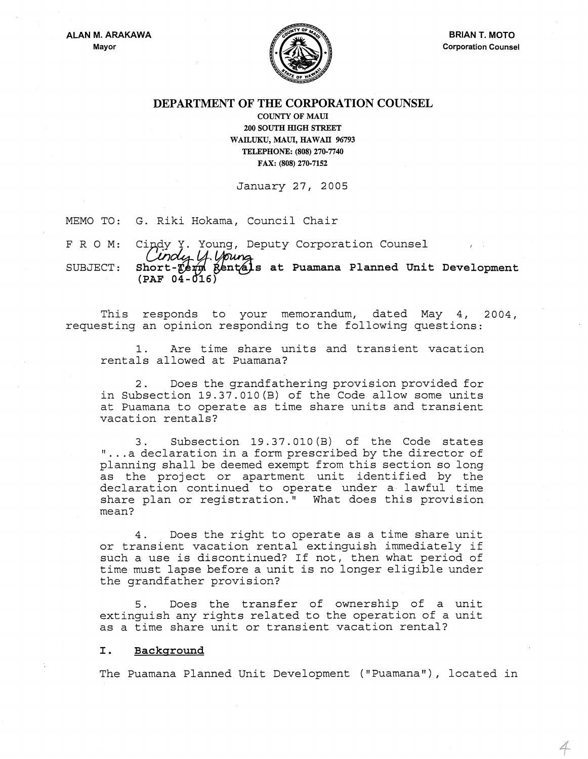

4

## DEPARTMENT OF THE CORPORATION COUNSEL

COUNTY OF MAUl 200 SOUTH mGH STREET WAILUKU, MAUI, HAWAII 96793 TELEPHONE: (808) 270-7740 FAX: (808) 270-7152

January 27, 2005

MEMO TO: G. Riki Hokama, Council Chair

FRO M: Cindy Y. Young, Deputy Corporation Counsel<br>Cindus LA Unung

SUBJECT: Short-Term Rentals at Puamana Planned Unit Development (PAF 04-016)

This responds to your memorandum, dated May 4, 2004, requesting an opinion responding to the following questions:

1. Are time share units and transient vacation rentals allowed at Puamana?

2. Does the grandfathering provision provided for in Subsection 19.37.010(B) of the Code allow some units at Puamana to operate as time share units and transient vacation rentals?

3. Subsection 19.37.010 (B) of the Code states "... a declaration in a form prescribed by the director of planning shall be deemed exempt from this section so long as the project or apartment unit identified by the declaration continued to operate under a lawful time share plan or registration." What does this provision mean?

4. Does the right to operate as a time share unit or transient vacation rental extinguish immediately if such a use is discontinued? If not, then what period of time must lapse before a unit is no longer eligible under the grandfather provision?

5. Does the transfer of ownership of a unit extinguish any rights related to the operation of a unit as a time share unit or transient vacation rental?

#### I. Background

The Puamana Planned Unit Development ("Puamana"), located in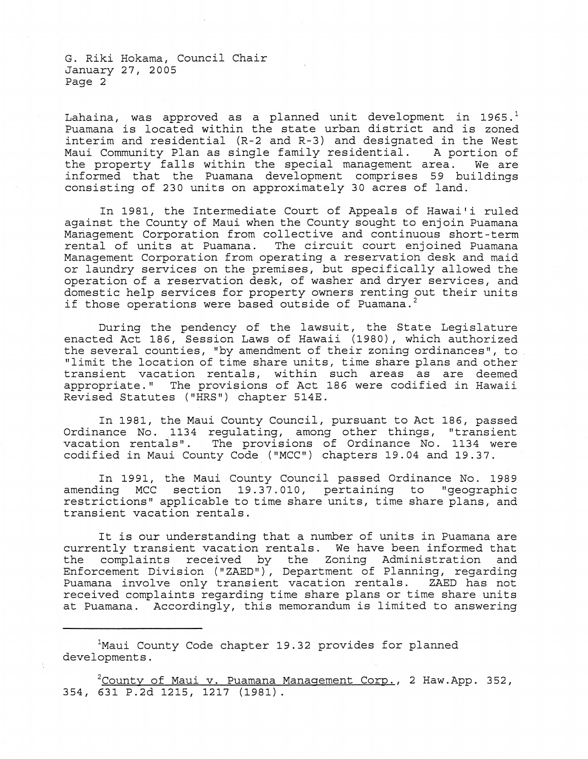Lahaina, was approved as a planned unit development in 1965. $<sup>1</sup>$ </sup> Puamana is located within the state urban district and is zoned interim and residential (R-2 and R-3) and designated in the West Maui Community Plan as single family residential. A portion of the property falls within the special management area. We are informed that the Puamana development comprises 59 buildings consisting of 230 units on approximately 30 acres of land.

In 1981, the Intermediate Court of Appeals of Hawai'i ruled against the County of Maui when the County sought to enjoin Puamana Management Corporation from collective and continuous short-term rental of units at Puamana. The circuit court enjoined Puamana Management Corporation from operating a reservation desk and maid or laundry services on the premises, but specifically allowed the operation of a reservation desk, of washer and dryer services, and domestic help services for property owners renting out their units if those operations were based outside of Puamana.<sup>2</sup>

During the pendency of the lawsuit, the State Legislature enacted Act 186, Session Laws of Hawaii (1980), which authorized the several counties, "by amendment of their zoning ordinances ", to "limit the location of time share units, time share plans and other transient vacation rentals, within such areas as are deemed appropriate. II The provisions of Act 186 were codified in Hawaii Revised Statutes ("HRS") chapter 514E.

In 1981, the Maui County Council, pursuant to Act 186, passed Ordinance No. 1134 regulating, among other things, "transient vacation rentals". The provisions of Ordinance No. 1134 were codified in Maui County Code ("MCC") chapters 19.04 and 19.37.

In 1991, the Maui County Council passed Ordinance No. 1989 amending MCC section  $19.37.010$ , pertaining to "geographic restrictions" applicable to time share units, time share plans, and transient vacation rentals.

It is our understanding that a number of units in Puamana are currently transient vacation rentals. We have been informed that the complaints received by the Zoning Administration and Enforcement Division ("ZAED"), Department of Planning, regarding Puamana involve only transient vacation rentals. ZAED has not received complaints regarding time share plans or time share units at Puamana. Accordingly, this memorandum is limited to answering

<sup>1</sup>Maui County Code chapter 19.32 provides for planned developments.

 $2$ County of Maui v. Puamana Management Corp., 2 Haw.App. 352, 354, 631 P.2d 1215, 1217 (1981).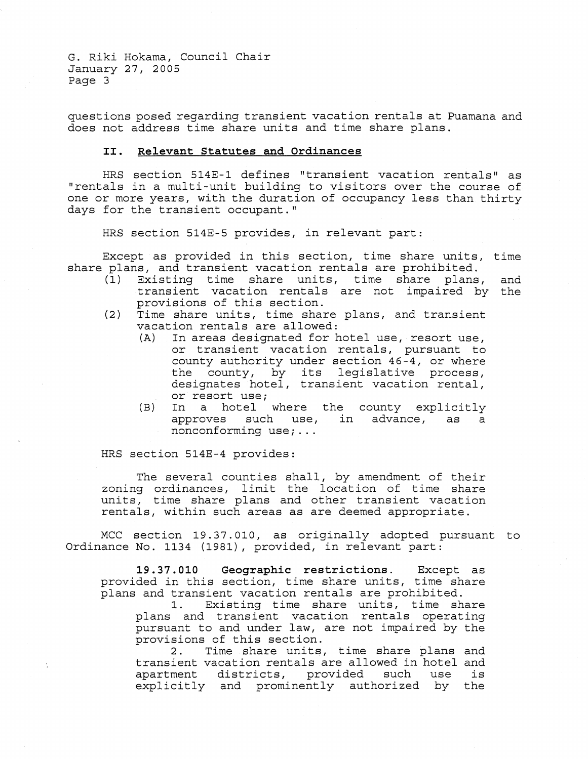questions posed regarding transient vacation rentals at Puamana and does not address time share units and time share plans.

# **II. Relevant Statutes and Ordinances**

HRS section 514E-1 defines "transient vacation rentals" as "rentals in a multi-unit building to visitors over the course of one or more years, with the duration of occupancy less than thirty days for the transient occupant."

HRS section 514E-5 provides, in relevant part:

Except as provided in this section, time share units, time share plans, and transient vacation rentals are prohibited.

- (1) Existing time share units, time share plans, transient vacation rentals are not impaired by the provisions of this section. and
- (2) Time share units, time share plans, and transient vacation rentals are allowed:<br>(A) In areas designated for h
	- In areas designated for hotel use, resort use, or transient vacation rentals, pursuant to county authority under section 46-4, or where county authority under section 40-4, or where<br>the county, by its legislative process, designates hotel, transient vacation rental, or resort use;
	- (B) In a hotel where the county explicitly approves such use, in advance, as a nonconforming use; ...

HRS section 514E-4 provides:

The several counties shall, by amendment of their zoning ordinances, limit the location of time share units, time share plans and other transient vacation rentals, within such areas as are deemed appropriate.

MCC section 19.37.010, as originally adopted pursuant to Ordinance No. 1134 (1981), provided, in relevant part:

**19.37. 010 Geographic restrictions.** Except as provided in this section, time share units, time share plans and transient vacation rentals are prohibited.

1. Existing time share units, time share plans and transient vacation rentals operating pursuant to and under law, are not impaired by the provisions of this section.<br>2. Time share units.

Time share units, time share plans and transient vacation rentals are allowed in hotel and<br>apartment districts, provided such use is apartment districts, provided such use explicitly and prominently authorized by the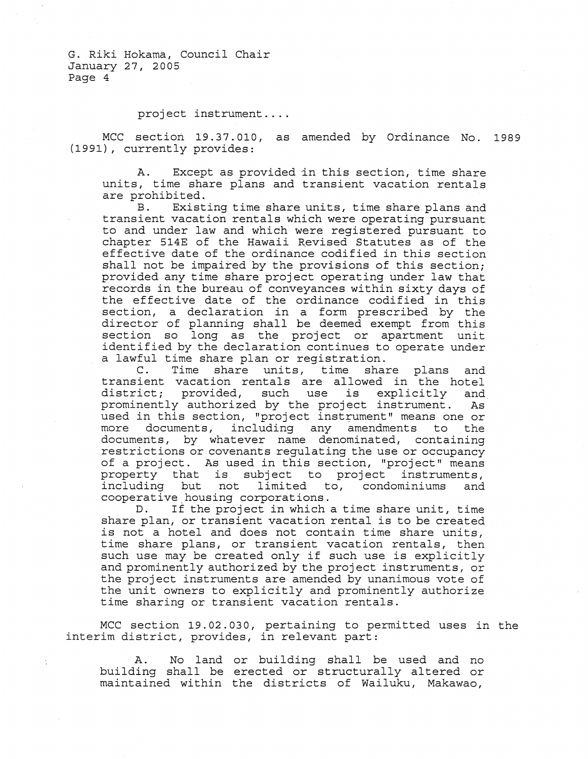project instrument ....

MCC section 19.37.010, as amended by Ordinance No. 1989 (1991), currently provides:

A. Except as provided in this section, time share units, time share plans and transient vacation rentals are prohibited.<br>B. Exist

Existing time share units, time share plans and transient vacation rentals which were operating pursuant to and under law and which were registered pursuant to chapter 514E of the Hawaii Revised Statutes as of the effective date of the ordinance codified in this section shall not be impaired by the provisions of this section; provided any time share project operating under law that records in the bureau of conveyances wi thin sixty days of the effective date of the ordinance codified in this section, a declaration in a form prescribed by the director of planning shall be deemed exempt from this section so long as the project or apartment unit identified by the declaration continues to operate under a lawful time share plan or registration.<br>C. Time share units, time shai

Time share units, time share plans and transient vacation rentals are allowed in the hotel district; provided, such use is explicitly and<br>prominently authorized by the project instrument. As  $prominently$  authorized by the project instrument. used in this section, "project instrument" means one or<br>more documents, including any amendments to the documents, including any amendments to the documents, by whatever name denominated, containing restrictions or covenants regulating the use or occupancy of a project. As used in this section, "project" means or a project. The about in entit beceiven, project theans including but not limited to, condominiums and cooperative housing corporations.<br>D. If the project in which

If the project in which a time share unit, time share plan, or transient vacation rental is to be created is not a hotel and does not contain time share units, time share plans, or transient vacation rentals, then such use may be created only if such use is explicitly and prominently authorized by the project instruments, or the project instruments are amended by unanimous vote of the unit owners to explicitly and prominently authorize time sharing or transient vacation rentals.

MCC section 19.02.030, pertaining to permitted uses in the interim district, provides, in relevant part:

A. No land or building shall be used and no building shall be erected or structurally altered or maintained within the districts of Wailuku, Makawao,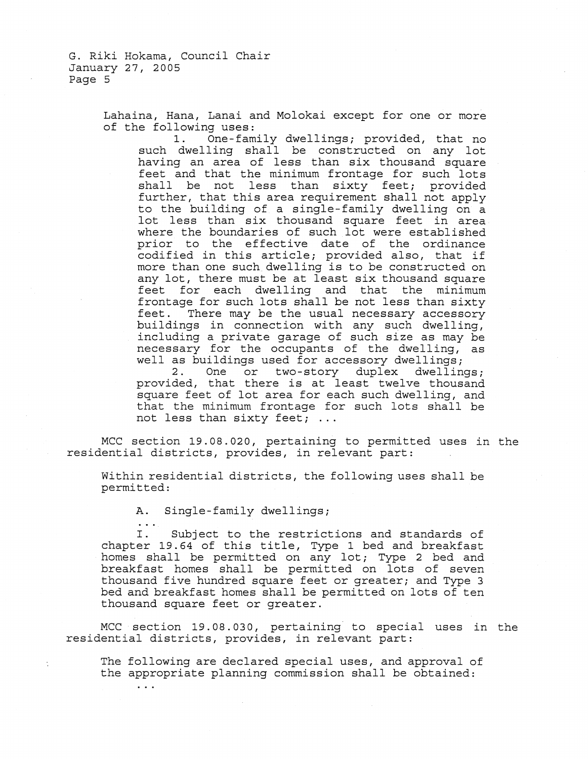> Lahaina, Hana, Lanai and Molokai except for one or more of the following uses:<br>1. One-fam

1. One-family dwellings; provided, that no such dwelling shall be constructed on any lot having an area of less than six thousand square feet and that the minimum frontage for such lots shall be not less than sixty feet; provided further, that this area requirement shall not apply to the building of a single-family dwelling on a lot less than six thousand square feet in area where the boundaries of such lot were established prior to the effective date of the ordinance codified in this article; provided also, that if more than one such dwelling is to be constructed on any lot, there must be at least six thousand square feet for each dwelling and that the minimum frontage for such lots shall be not less than sixty feet. There may be the usual necessary accessory buildings in connection with any such dwelling, including a private garage of such size as may be necessary for the occupants of the dwelling, as

well as buildings used for accessory dwellings;<br>2. One or two-story duplex dwellin One or two-story duplex dwellings; provided, that there is at least twelve thousand square feet of lot area for each such dwelling, and that the minimum frontage for such lots shall be not less than sixty feet; ...

MCC section 19.08.020, pertaining to permitted uses in the residential districts, provides, in relevant part:

Within residential districts, the following uses shall be permitted:

A. Single-family dwellings;

 $\sim$   $\sim$ 

I. Subject to the restrictions and standards of chapter 19.64 of this title, Type 1 bed and breakfast homes shall be permitted on any lot; Type 2 bed and breakfast homes shall be permitted on lots of seven thousand five hundred square feet or greater; and Type 3 bed and breakfast homes shall be permitted on lots of ten thousand square feet or greater.

MCC·section 19.08.030, pertaining to special uses in the residential districts, provides, in relevant part:

The following are declared special uses, and approval of the appropriate planning commission shall be obtained: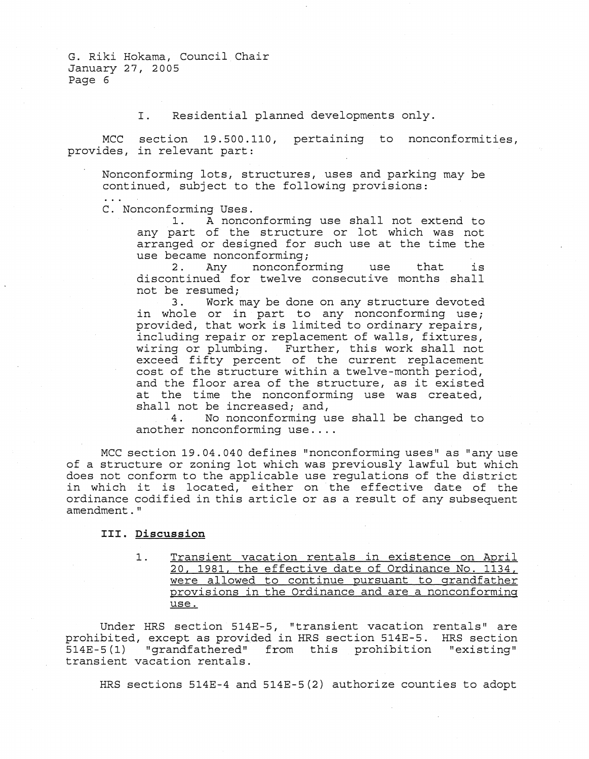I. Residential planned developments only.

MCC section 19.500.110, pertaining to nonconformities, provides, in relevant part:

Nonconforming lots, structures, uses and parking may be continued, subject to the following provisions:

C. Nonconforming Uses.

1. A nonconforming use shall not extend to any part of the structure or lot which was not arranged or designed for such use at the time the

use became nonconforming;<br>2. Any nonconfor nonconforming use that is discontinued for twelve consecutive months shall not be resumed;<br>3. Work

Work may be done on any structure devoted in whole or in part to any nonconforming use; provided, that work is limited to ordinary repairs, including repair or replacement of walls, fixtures, wiring or plumbing. Further, this work shall not exceed fifty percent of the current replacement cost of the structure within a twelve-month period, and the floor area of the structure, as it existed at the time the nonconforming use was created, shall not be increased; and,<br>4. No nonconforming u

No nonconforming use shall be changed to another nonconforming use ....

MCC section 19.04.040 defines "nonconforming uses" as "any use of a structure or zoning lot which was previously lawful but which does not conform to the applicable use regulations of the district in which it is located, either on the effective date of the ordinance codified in this article or as a result of any subsequent amendment."

# **III. Discussion**

1. Transient vacation rentals in existence on April 20, 1981, the effective date of Ordinance No. 1134, were allowed to continue pursuant to grandfather provisions in the Ordinance and are a nonconforming use.

Under HRS section 514E-5, "transient vacation rentals" are prohibited, except as provided in HRS section 514E-5. HRS section 514E-5 (1) "grandfathered" from this prohibition "existing" transient vacation rentals.

HRS sections 514E-4 and 514E-5(2) authorize counties to adopt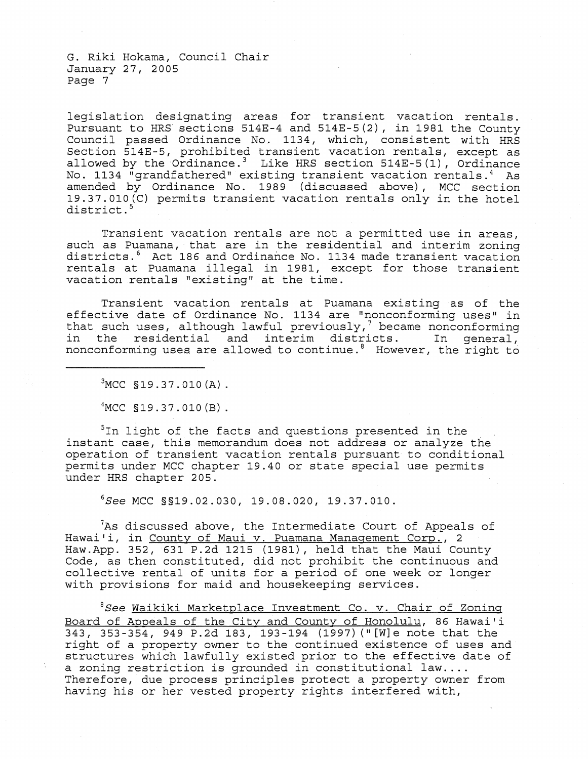legislation designating areas for transient vacation rentals. Pursuant to HRS' sections 514E-4 and 514E-5(2) , in 1981 the County Council passed Ordinance No. 1134, which, consistent with HRS Section 514E-5, prohibited transient vacation rentals, except as allowed by the Ordinance.<sup>3</sup> Like HRS section  $514E-5(1)$ , Ordinance No. 1134 "grandfathered" existing transient vacation rentals. 4 As amended by Ordinance No. 1989 (discussed above), MCC section 19.37.010(C) permits transient vacation rentals only in the hotel district.<sup>5</sup>

Transient vacation rentals are not a permitted use in areas, such as Puamana, that are in the residential and interim zoning districts.<sup>6</sup> Act 186 and Ordinance No. 1134 made transient vacation rentals at Puamana illegal in 1981, except for those transient vacation rentals "existing" at the time.

Transient vacation rentals at Puamana existing as of the effective date of Ordinance No. 1134 are "nonconforming uses" in that such uses, although lawful previously, $\frac{1}{2}$  became nonconforming in the residential and interim districts. In general, nonconforming uses are allowed to continue.<sup>8</sup> However, the right to

 $3MCC$  §19.37.010 $(A)$ .

 $4$ MCC §19.37.010 $(B)$ .

 $5$ In light of the facts and questions presented in the instant case, this memorandum does not address or analyze the operation of transient vacation rentals pursuant to conditional permits under MCC chapter 19.40 or state special use permits under HRS chapter 205.

6S*ee* MCC §§19.02.030, 19.08.020, 19.37.010.

 $7$ As discussed above, the Intermediate Court of Appeals of Hawai'i, in County of Maui v. Puamana Management Corp., 2 Haw.App. 352, 631 P.2d 1215 (1981), held that the Maui County Code, as then constituted, did not prohibit the continuous and collective rental of units for a period of one week or longer with provisions for maid and housekeeping services.

 ${}^{8}$ See Waikiki Marketplace Investment Co. v. Chair of Zoning Board of Appeals of the City and County of Honolulu, 86 Hawai'i 343, 353-354, 949 P.2d 183, 193-194 (1997) (" [W]e note that the right of a property owner to the continued existence of uses and structures which lawfully existed prior to the effective date of a zoning restriction is grounded in constitutional law.... Therefore, due process principles protect a property owner from having his or her vested property rights interfered with,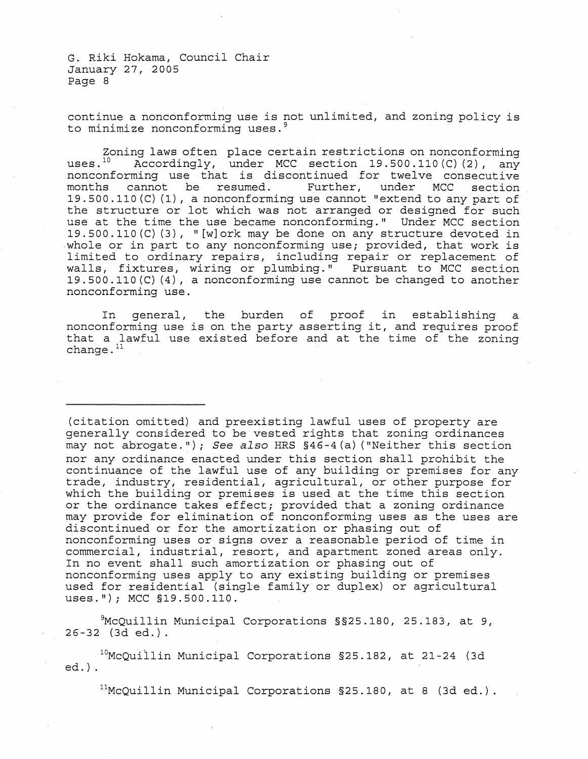continue a nonconforming use is not unlimited, and zoning policy is to minimize nonconforming uses.<sup>9</sup>

Zoning laws often place certain restrictions on nonconforming<br>uses.<sup>10</sup> Accordingly, under MCC section 19.500.110(C)(2). any Accordingly, under MCC section  $19.500.110(C)(2)$ , any nonconforming use that is discontinued for twelve consecutive<br>months cannot be resumed. Further, under MCC section months cannot be resumed. 19.500.110 (C) (1), a nonconforming use cannot "extend to any part of the structure or lot which was not arranged or designed for such use at the time the use became nonconforming." Under MCC section 19.500.110(C)(3), "[w]ork may be done on any structure devoted in .whole or in part to any nonconforming use; provided, that work is limited to ordinary repairs, including repair or replacement of walls, fixtures, wiring or plumbing." Pursuant to MCC section 19.500.110(C) (4), a nonconforming use cannot be changed to another nonconforming use.

In general, the burden of proof in establishing a nonconforming use is on the party asserting it, and requires proof that a lawful use existed before and at the time of the zoning change. $11$ 

(citation omitted) and preexisting lawful uses of property are generally considered to be vested rights that zoning ordinances may not abrogate."); See also HRS §46-4(a) ("Neither this section nor any ordinance enacted under this section shall prohibit the continuance of the lawful use of any building or premises for any trade, industry, residential, agricultural, or other purpose for which the building or premises is used at the time this section or the ordinance takes effect; provided that a zoning ordinance may provide for elimination of nonconforming uses as the uses are discontinued or for the amortization or phasing out of nonconforming uses or signs over a reasonable period of time in commercial, industrial, resort, and apartment zoned areas only. In no event shall such amortization or phasing out of nonconforming uses apply to any existing building or premises used for residential (single family or duplex) or agricultural uses."); MCC §19.500.110.

9McQuillin Municipal Corporations §§2s.180, 25.183, at 9,  $26 - 32$  (3d ed.).

 $10^{10}$ McQuillin Municipal Corporations §25.182, at 21-24 (3d ed.) .

 $11$ McQuillin Municipal Corporations §25.180, at 8 (3d ed.).